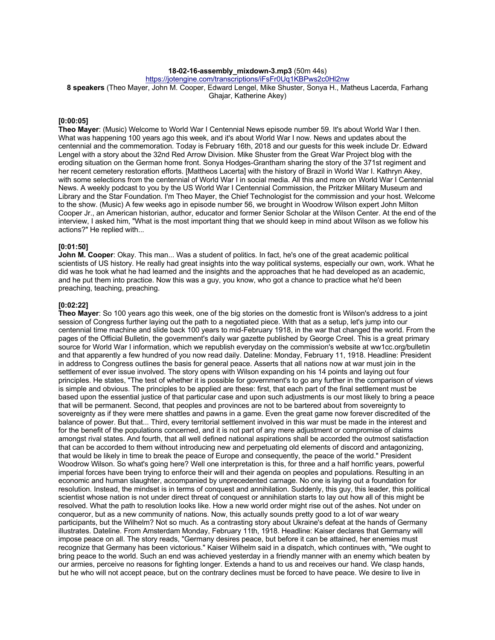## **18-02-16-assembly\_mixdown-3.mp3** (50m 44s)

https://jotengine.com/transcriptions/iFsFr0Uq1KBPws2c0Hl2nw

**8 speakers** (Theo Mayer, John M. Cooper, Edward Lengel, Mike Shuster, Sonya H., Matheus Lacerda, Farhang Ghajar, Katherine Akey)

#### **[0:00:05]**

**Theo Mayer**: (Music) Welcome to World War I Centennial News episode number 59. It's about World War I then. What was happening 100 years ago this week, and it's about World War I now. News and updates about the centennial and the commemoration. Today is February 16th, 2018 and our guests for this week include Dr. Edward Lengel with a story about the 32nd Red Arrow Division. Mike Shuster from the Great War Project blog with the eroding situation on the German home front. Sonya Hodges-Grantham sharing the story of the 371st regiment and her recent cemetery restoration efforts. [Mattheos Lacerta] with the history of Brazil in World War I. Kathryn Akey, with some selections from the centennial of World War I in social media. All this and more on World War I Centennial News. A weekly podcast to you by the US World War I Centennial Commission, the Pritzker Military Museum and Library and the Star Foundation. I'm Theo Mayer, the Chief Technologist for the commission and your host. Welcome to the show. (Music) A few weeks ago in episode number 56, we brought in Woodrow Wilson expert John Milton Cooper Jr., an American historian, author, educator and former Senior Scholar at the Wilson Center. At the end of the interview, I asked him, "What is the most important thing that we should keep in mind about Wilson as we follow his actions?" He replied with...

#### **[0:01:50]**

**John M. Cooper**: Okay. This man... Was a student of politics. In fact, he's one of the great academic political scientists of US history. He really had great insights into the way political systems, especially our own, work. What he did was he took what he had learned and the insights and the approaches that he had developed as an academic, and he put them into practice. Now this was a guy, you know, who got a chance to practice what he'd been preaching, teaching, preaching.

#### **[0:02:22]**

**Theo Mayer**: So 100 years ago this week, one of the big stories on the domestic front is Wilson's address to a joint session of Congress further laying out the path to a negotiated piece. With that as a setup, let's jump into our centennial time machine and slide back 100 years to mid-February 1918, in the war that changed the world. From the pages of the Official Bulletin, the government's daily war gazette published by George Creel. This is a great primary source for World War I information, which we republish everyday on the commission's website at ww1cc.org/bulletin and that apparently a few hundred of you now read daily. Dateline: Monday, February 11, 1918. Headline: President in address to Congress outlines the basis for general peace. Asserts that all nations now at war must join in the settlement of ever issue involved. The story opens with Wilson expanding on his 14 points and laying out four principles. He states, "The test of whether it is possible for government's to go any further in the comparison of views is simple and obvious. The principles to be applied are these: first, that each part of the final settlement must be based upon the essential justice of that particular case and upon such adjustments is our most likely to bring a peace that will be permanent. Second, that peoples and provinces are not to be bartered about from sovereignty to sovereignty as if they were mere shattles and pawns in a game. Even the great game now forever discredited of the balance of power. But that... Third, every territorial settlement involved in this war must be made in the interest and for the benefit of the populations concerned, and it is not part of any mere adjustment or compromise of claims amongst rival states. And fourth, that all well defined national aspirations shall be accorded the outmost satisfaction that can be accorded to them without introducing new and perpetuating old elements of discord and antagonizing, that would be likely in time to break the peace of Europe and consequently, the peace of the world." President Woodrow Wilson. So what's going here? Well one interpretation is this, for three and a half horrific years, powerful imperial forces have been trying to enforce their will and their agenda on peoples and populations. Resulting in an economic and human slaughter, accompanied by unprecedented carnage. No one is laying out a foundation for resolution. Instead, the mindset is in terms of conquest and annihilation. Suddenly, this guy, this leader, this political scientist whose nation is not under direct threat of conquest or annihilation starts to lay out how all of this might be resolved. What the path to resolution looks like. How a new world order might rise out of the ashes. Not under on conqueror, but as a new community of nations. Now, this actually sounds pretty good to a lot of war weary participants, but the Wilhelm? Not so much. As a contrasting story about Ukraine's defeat at the hands of Germany illustrates. Dateline. From Amsterdam Monday, February 11th, 1918. Headline: Kaiser declares that Germany will impose peace on all. The story reads, "Germany desires peace, but before it can be attained, her enemies must recognize that Germany has been victorious." Kaiser Wilhelm said in a dispatch, which continues with, "We ought to bring peace to the world. Such an end was achieved yesterday in a friendly manner with an enemy which beaten by our armies, perceive no reasons for fighting longer. Extends a hand to us and receives our hand. We clasp hands, but he who will not accept peace, but on the contrary declines must be forced to have peace. We desire to live in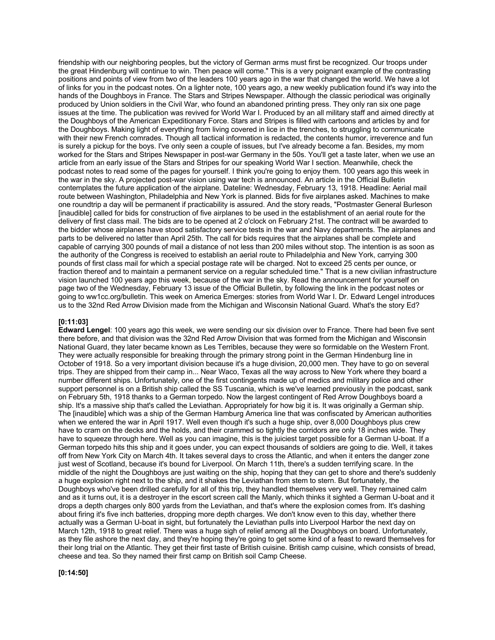friendship with our neighboring peoples, but the victory of German arms must first be recognized. Our troops under the great Hindenburg will continue to win. Then peace will come." This is a very poignant example of the contrasting positions and points of view from two of the leaders 100 years ago in the war that changed the world. We have a lot of links for you in the podcast notes. On a lighter note, 100 years ago, a new weekly publication found it's way into the hands of the Doughboys in France. The Stars and Stripes Newspaper. Although the classic periodical was originally produced by Union soldiers in the Civil War, who found an abandoned printing press. They only ran six one page issues at the time. The publication was revived for World War I. Produced by an all military staff and aimed directly at the Doughboys of the American Expeditionary Force. Stars and Stripes is filled with cartoons and articles by and for the Doughboys. Making light of everything from living covered in lice in the trenches, to struggling to communicate with their new French comrades. Though all tactical information is redacted, the contents humor, irreverence and fun is surely a pickup for the boys. I've only seen a couple of issues, but I've already become a fan. Besides, my mom worked for the Stars and Stripes Newspaper in post-war Germany in the 50s. You'll get a taste later, when we use an article from an early issue of the Stars and Stripes for our speaking World War I section. Meanwhile, check the podcast notes to read some of the pages for yourself. I think you're going to enjoy them. 100 years ago this week in the war in the sky. A projected post-war vision using war tech is announced. An article in the Official Bulletin contemplates the future application of the airplane. Dateline: Wednesday, February 13, 1918. Headline: Aerial mail route between Washington, Philadelphia and New York is planned. Bids for five airplanes asked. Machines to make one roundtrip a day will be permanent if practicability is assured. And the story reads, "Postmaster General Burleson [inaudible] called for bids for construction of five airplanes to be used in the establishment of an aerial route for the delivery of first class mail. The bids are to be opened at 2 o'clock on February 21st. The contract will be awarded to the bidder whose airplanes have stood satisfactory service tests in the war and Navy departments. The airplanes and parts to be delivered no latter than April 25th. The call for bids requires that the airplanes shall be complete and capable of carrying 300 pounds of mail a distance of not less than 200 miles without stop. The intention is as soon as the authority of the Congress is received to establish an aerial route to Philadelphia and New York, carrying 300 pounds of first class mail for which a special postage rate will be charged. Not to exceed 25 cents per ounce, or fraction thereof and to maintain a permanent service on a regular scheduled time." That is a new civilian infrastructure vision launched 100 years ago this week, because of the war in the sky. Read the announcement for yourself on page two of the Wednesday, February 13 issue of the Official Bulletin, by following the link in the podcast notes or going to ww1cc.org/bulletin. This week on America Emerges: stories from World War I. Dr. Edward Lengel introduces us to the 32nd Red Arrow Division made from the Michigan and Wisconsin National Guard. What's the story Ed?

#### **[0:11:03]**

**Edward Lengel**: 100 years ago this week, we were sending our six division over to France. There had been five sent there before, and that division was the 32nd Red Arrow Division that was formed from the Michigan and Wisconsin National Guard, they later became known as Les Terribles, because they were so formidable on the Western Front. They were actually responsible for breaking through the primary strong point in the German Hindenburg line in October of 1918. So a very important division because it's a huge division, 20,000 men. They have to go on several trips. They are shipped from their camp in... Near Waco, Texas all the way across to New York where they board a number different ships. Unfortunately, one of the first contingents made up of medics and military police and other support personnel is on a British ship called the SS Tuscania, which is we've learned previously in the podcast, sank on February 5th, 1918 thanks to a German torpedo. Now the largest contingent of Red Arrow Doughboys board a ship. It's a massive ship that's called the Leviathan. Appropriately for how big it is. It was originally a German ship. The [inaudible] which was a ship of the German Hamburg America line that was confiscated by American authorities when we entered the war in April 1917. Well even though it's such a huge ship, over 8,000 Doughboys plus crew have to cram on the decks and the holds, and their crammed so tightly the corridors are only 18 inches wide. They have to squeeze through here. Well as you can imagine, this is the juiciest target possible for a German U-boat. If a German torpedo hits this ship and it goes under, you can expect thousands of soldiers are going to die. Well, it takes off from New York City on March 4th. It takes several days to cross the Atlantic, and when it enters the danger zone just west of Scotland, because it's bound for Liverpool. On March 11th, there's a sudden terrifying scare. In the middle of the night the Doughboys are just waiting on the ship, hoping that they can get to shore and there's suddenly a huge explosion right next to the ship, and it shakes the Leviathan from stem to stern. But fortunately, the Doughboys who've been drilled carefully for all of this trip, they handled themselves very well. They remained calm and as it turns out, it is a destroyer in the escort screen call the Manly, which thinks it sighted a German U-boat and it drops a depth charges only 800 yards from the Leviathan, and that's where the explosion comes from. It's dashing about firing it's five inch batteries, dropping more depth charges. We don't know even to this day, whether there actually was a German U-boat in sight, but fortunately the Leviathan pulls into Liverpool Harbor the next day on March 12th, 1918 to great relief. There was a huge sigh of relief among all the Doughboys on board. Unfortunately, as they file ashore the next day, and they're hoping they're going to get some kind of a feast to reward themselves for their long trial on the Atlantic. They get their first taste of British cuisine. British camp cuisine, which consists of bread, cheese and tea. So they named their first camp on British soil Camp Cheese.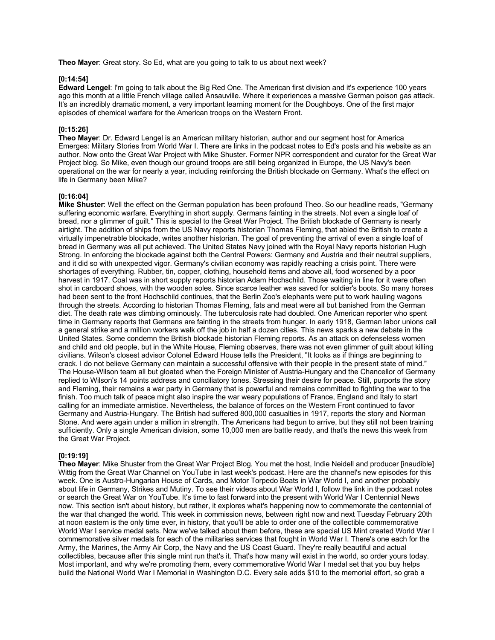**Theo Mayer**: Great story. So Ed, what are you going to talk to us about next week?

### **[0:14:54]**

**Edward Lengel**: I'm going to talk about the Big Red One. The American first division and it's experience 100 years ago this month at a little French village called Ansauville. Where it experiences a massive German poison gas attack. It's an incredibly dramatic moment, a very important learning moment for the Doughboys. One of the first major episodes of chemical warfare for the American troops on the Western Front.

#### **[0:15:26]**

**Theo Mayer**: Dr. Edward Lengel is an American military historian, author and our segment host for America Emerges: Military Stories from World War I. There are links in the podcast notes to Ed's posts and his website as an author. Now onto the Great War Project with Mike Shuster. Former NPR correspondent and curator for the Great War Project blog. So Mike, even though our ground troops are still being organized in Europe, the US Navy's been operational on the war for nearly a year, including reinforcing the British blockade on Germany. What's the effect on life in Germany been Mike?

#### **[0:16:04]**

**Mike Shuster**: Well the effect on the German population has been profound Theo. So our headline reads, "Germany suffering economic warfare. Everything in short supply. Germans fainting in the streets. Not even a single loaf of bread, nor a glimmer of guilt." This is special to the Great War Project. The British blockade of Germany is nearly airtight. The addition of ships from the US Navy reports historian Thomas Fleming, that abled the British to create a virtually impenetrable blockade, writes another historian. The goal of preventing the arrival of even a single loaf of bread in Germany was all put achieved. The United States Navy joined with the Royal Navy reports historian Hugh Strong. In enforcing the blockade against both the Central Powers: Germany and Austria and their neutral suppliers, and it did so with unexpected vigor. Germany's civilian economy was rapidly reaching a crisis point. There were shortages of everything. Rubber, tin, copper, clothing, household items and above all, food worsened by a poor harvest in 1917. Coal was in short supply reports historian Adam Hochschild. Those waiting in line for it were often shot in cardboard shoes, with the wooden soles. Since scarce leather was saved for soldier's boots. So many horses had been sent to the front Hochschild continues, that the Berlin Zoo's elephants were put to work hauling wagons through the streets. According to historian Thomas Fleming, fats and meat were all but banished from the German diet. The death rate was climbing ominously. The tuberculosis rate had doubled. One American reporter who spent time in Germany reports that Germans are fainting in the streets from hunger. In early 1918, German labor unions call a general strike and a million workers walk off the job in half a dozen cities. This news sparks a new debate in the United States. Some condemn the British blockade historian Fleming reports. As an attack on defenseless women and child and old people, but in the White House, Fleming observes, there was not even glimmer of guilt about killing civilians. Wilson's closest advisor Colonel Edward House tells the President, "It looks as if things are beginning to crack. I do not believe Germany can maintain a successful offensive with their people in the present state of mind." The House-Wilson team all but gloated when the Foreign Minister of Austria-Hungary and the Chancellor of Germany replied to Wilson's 14 points address and conciliatory tones. Stressing their desire for peace. Still, purports the story and Fleming, their remains a war party in Germany that is powerful and remains committed to fighting the war to the finish. Too much talk of peace might also inspire the war weary populations of France, England and Italy to start calling for an immediate armistice. Nevertheless, the balance of forces on the Western Front continued to favor Germany and Austria-Hungary. The British had suffered 800,000 casualties in 1917, reports the story and Norman Stone. And were again under a million in strength. The Americans had begun to arrive, but they still not been training sufficiently. Only a single American division, some 10,000 men are battle ready, and that's the news this week from the Great War Project.

#### **[0:19:19]**

**Theo Mayer**: Mike Shuster from the Great War Project Blog. You met the host, Indie Neidell and producer [inaudible] Wittig from the Great War Channel on YouTube in last week's podcast. Here are the channel's new episodes for this week. One is Austro-Hungarian House of Cards, and Motor Torpedo Boats in War World I, and another probably about life in Germany, Strikes and Mutiny. To see their videos about War World I, follow the link in the podcast notes or search the Great War on YouTube. It's time to fast forward into the present with World War I Centennial News now. This section isn't about history, but rather, it explores what's happening now to commemorate the centennial of the war that changed the world. This week in commission news, between right now and next Tuesday February 20th at noon eastern is the only time ever, in history, that you'll be able to order one of the collectible commemorative World War I service medal sets. Now we've talked about them before, these are special US Mint created World War I commemorative silver medals for each of the militaries services that fought in World War I. There's one each for the Army, the Marines, the Army Air Corp, the Navy and the US Coast Guard. They're really beautiful and actual collectibles, because after this single mint run that's it. That's how many will exist in the world, so order yours today. Most important, and why we're promoting them, every commemorative World War I medal set that you buy helps build the National World War I Memorial in Washington D.C. Every sale adds \$10 to the memorial effort, so grab a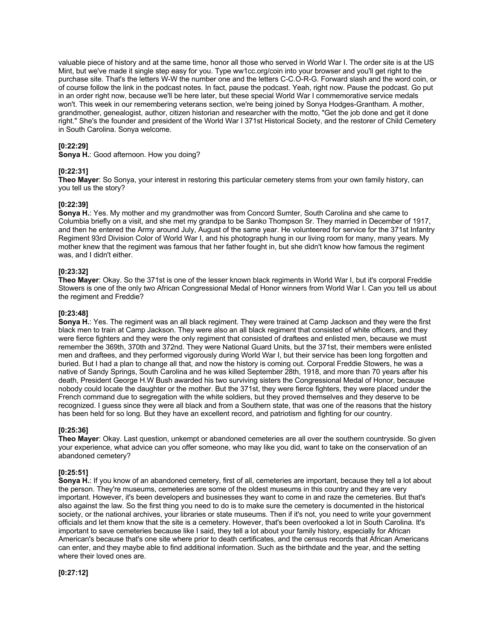valuable piece of history and at the same time, honor all those who served in World War I. The order site is at the US Mint, but we've made it single step easy for you. Type ww1cc.org/coin into your browser and you'll get right to the purchase site. That's the letters W-W the number one and the letters C-C.O-R-G. Forward slash and the word coin, or of course follow the link in the podcast notes. In fact, pause the podcast. Yeah, right now. Pause the podcast. Go put in an order right now, because we'll be here later, but these special World War I commemorative service medals won't. This week in our remembering veterans section, we're being joined by Sonya Hodges-Grantham. A mother, grandmother, genealogist, author, citizen historian and researcher with the motto, "Get the job done and get it done right." She's the founder and president of the World War I 371st Historical Society, and the restorer of Child Cemetery in South Carolina. Sonya welcome.

# **[0:22:29]**

**Sonya H.**: Good afternoon. How you doing?

#### **[0:22:31]**

**Theo Mayer**: So Sonya, your interest in restoring this particular cemetery stems from your own family history, can you tell us the story?

## **[0:22:39]**

**Sonya H.**: Yes. My mother and my grandmother was from Concord Sumter, South Carolina and she came to Columbia briefly on a visit, and she met my grandpa to be Sanko Thompson Sr. They married in December of 1917, and then he entered the Army around July, August of the same year. He volunteered for service for the 371st Infantry Regiment 93rd Division Color of World War I, and his photograph hung in our living room for many, many years. My mother knew that the regiment was famous that her father fought in, but she didn't know how famous the regiment was, and I didn't either.

# **[0:23:32]**

**Theo Mayer**: Okay. So the 371st is one of the lesser known black regiments in World War I, but it's corporal Freddie Stowers is one of the only two African Congressional Medal of Honor winners from World War I. Can you tell us about the regiment and Freddie?

## **[0:23:48]**

**Sonya H.**: Yes. The regiment was an all black regiment. They were trained at Camp Jackson and they were the first black men to train at Camp Jackson. They were also an all black regiment that consisted of white officers, and they were fierce fighters and they were the only regiment that consisted of draftees and enlisted men, because we must remember the 369th, 370th and 372nd. They were National Guard Units, but the 371st, their members were enlisted men and draftees, and they performed vigorously during World War I, but their service has been long forgotten and buried. But I had a plan to change all that, and now the history is coming out. Corporal Freddie Stowers, he was a native of Sandy Springs, South Carolina and he was killed September 28th, 1918, and more than 70 years after his death, President George H.W Bush awarded his two surviving sisters the Congressional Medal of Honor, because nobody could locate the daughter or the mother. But the 371st, they were fierce fighters, they were placed under the French command due to segregation with the white soldiers, but they proved themselves and they deserve to be recognized. I guess since they were all black and from a Southern state, that was one of the reasons that the history has been held for so long. But they have an excellent record, and patriotism and fighting for our country.

### **[0:25:36]**

**Theo Mayer**: Okay. Last question, unkempt or abandoned cemeteries are all over the southern countryside. So given your experience, what advice can you offer someone, who may like you did, want to take on the conservation of an abandoned cemetery?

## **[0:25:51]**

**Sonya H.**: If you know of an abandoned cemetery, first of all, cemeteries are important, because they tell a lot about the person. They're museums, cemeteries are some of the oldest museums in this country and they are very important. However, it's been developers and businesses they want to come in and raze the cemeteries. But that's also against the law. So the first thing you need to do is to make sure the cemetery is documented in the historical society, or the national archives, your libraries or state museums. Then if it's not, you need to write your government officials and let them know that the site is a cemetery. However, that's been overlooked a lot in South Carolina. It's important to save cemeteries because like I said, they tell a lot about your family history, especially for African American's because that's one site where prior to death certificates, and the census records that African Americans can enter, and they maybe able to find additional information. Such as the birthdate and the year, and the setting where their loved ones are.

**[0:27:12]**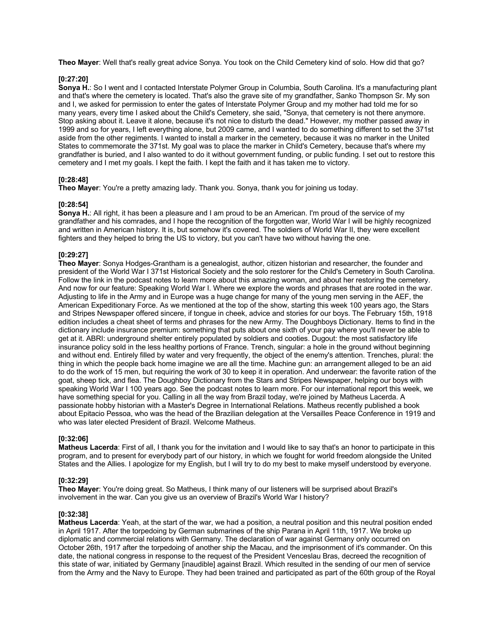**Theo Mayer**: Well that's really great advice Sonya. You took on the Child Cemetery kind of solo. How did that go?

### **[0:27:20]**

**Sonya H.**: So I went and I contacted Interstate Polymer Group in Columbia, South Carolina. It's a manufacturing plant and that's where the cemetery is located. That's also the grave site of my grandfather, Sanko Thompson Sr. My son and I, we asked for permission to enter the gates of Interstate Polymer Group and my mother had told me for so many years, every time I asked about the Child's Cemetery, she said, "Sonya, that cemetery is not there anymore. Stop asking about it. Leave it alone, because it's not nice to disturb the dead." However, my mother passed away in 1999 and so for years, I left everything alone, but 2009 came, and I wanted to do something different to set the 371st aside from the other regiments. I wanted to install a marker in the cemetery, because it was no marker in the United States to commemorate the 371st. My goal was to place the marker in Child's Cemetery, because that's where my grandfather is buried, and I also wanted to do it without government funding, or public funding. I set out to restore this cemetery and I met my goals. I kept the faith. I kept the faith and it has taken me to victory.

## **[0:28:48]**

**Theo Mayer**: You're a pretty amazing lady. Thank you. Sonya, thank you for joining us today.

## **[0:28:54]**

**Sonya H.**: All right, it has been a pleasure and I am proud to be an American. I'm proud of the service of my grandfather and his comrades, and I hope the recognition of the forgotten war, World War I will be highly recognized and written in American history. It is, but somehow it's covered. The soldiers of World War II, they were excellent fighters and they helped to bring the US to victory, but you can't have two without having the one.

# **[0:29:27]**

**Theo Mayer**: Sonya Hodges-Grantham is a genealogist, author, citizen historian and researcher, the founder and president of the World War I 371st Historical Society and the solo restorer for the Child's Cemetery in South Carolina. Follow the link in the podcast notes to learn more about this amazing woman, and about her restoring the cemetery. And now for our feature: Speaking World War I. Where we explore the words and phrases that are rooted in the war. Adjusting to life in the Army and in Europe was a huge change for many of the young men serving in the AEF, the American Expeditionary Force. As we mentioned at the top of the show, starting this week 100 years ago, the Stars and Stripes Newspaper offered sincere, if tongue in cheek, advice and stories for our boys. The February 15th, 1918 edition includes a cheat sheet of terms and phrases for the new Army. The Doughboys Dictionary. Items to find in the dictionary include insurance premium: something that puts about one sixth of your pay where you'll never be able to get at it. ABRI: underground shelter entirely populated by soldiers and cooties. Dugout: the most satisfactory life insurance policy sold in the less healthy portions of France. Trench, singular: a hole in the ground without beginning and without end. Entirely filled by water and very frequently, the object of the enemy's attention. Trenches, plural: the thing in which the people back home imagine we are all the time. Machine gun: an arrangement alleged to be an aid to do the work of 15 men, but requiring the work of 30 to keep it in operation. And underwear: the favorite ration of the goat, sheep tick, and flea. The Doughboy Dictionary from the Stars and Stripes Newspaper, helping our boys with speaking World War I 100 years ago. See the podcast notes to learn more. For our international report this week, we have something special for you. Calling in all the way from Brazil today, we're joined by Matheus Lacerda. A passionate hobby historian with a Master's Degree in International Relations. Matheus recently published a book about Epitacio Pessoa, who was the head of the Brazilian delegation at the Versailles Peace Conference in 1919 and who was later elected President of Brazil. Welcome Matheus.

# **[0:32:06]**

**Matheus Lacerda**: First of all, I thank you for the invitation and I would like to say that's an honor to participate in this program, and to present for everybody part of our history, in which we fought for world freedom alongside the United States and the Allies. I apologize for my English, but I will try to do my best to make myself understood by everyone.

# **[0:32:29]**

**Theo Mayer**: You're doing great. So Matheus, I think many of our listeners will be surprised about Brazil's involvement in the war. Can you give us an overview of Brazil's World War I history?

#### **[0:32:38]**

**Matheus Lacerda**: Yeah, at the start of the war, we had a position, a neutral position and this neutral position ended in April 1917. After the torpedoing by German submarines of the ship Parana in April 11th, 1917. We broke up diplomatic and commercial relations with Germany. The declaration of war against Germany only occurred on October 26th, 1917 after the torpedoing of another ship the Macau, and the imprisonment of it's commander. On this date, the national congress in response to the request of the President Venceslau Bras, decreed the recognition of this state of war, initiated by Germany [inaudible] against Brazil. Which resulted in the sending of our men of service from the Army and the Navy to Europe. They had been trained and participated as part of the 60th group of the Royal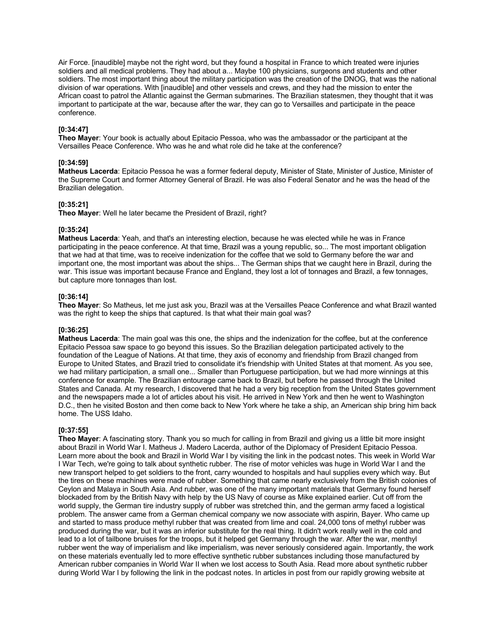Air Force. [inaudible] maybe not the right word, but they found a hospital in France to which treated were injuries soldiers and all medical problems. They had about a... Maybe 100 physicians, surgeons and students and other soldiers. The most important thing about the military participation was the creation of the DNOG, that was the national division of war operations. With [inaudible] and other vessels and crews, and they had the mission to enter the African coast to patrol the Atlantic against the German submarines. The Brazilian statesmen, they thought that it was important to participate at the war, because after the war, they can go to Versailles and participate in the peace conference.

### **[0:34:47]**

**Theo Mayer**: Your book is actually about Epitacio Pessoa, who was the ambassador or the participant at the Versailles Peace Conference. Who was he and what role did he take at the conference?

# **[0:34:59]**

**Matheus Lacerda**: Epitacio Pessoa he was a former federal deputy, Minister of State, Minister of Justice, Minister of the Supreme Court and former Attorney General of Brazil. He was also Federal Senator and he was the head of the Brazilian delegation.

## **[0:35:21]**

**Theo Mayer**: Well he later became the President of Brazil, right?

## **[0:35:24]**

**Matheus Lacerda**: Yeah, and that's an interesting election, because he was elected while he was in France participating in the peace conference. At that time, Brazil was a young republic, so... The most important obligation that we had at that time, was to receive indenization for the coffee that we sold to Germany before the war and important one, the most important was about the ships... The German ships that we caught here in Brazil, during the war. This issue was important because France and England, they lost a lot of tonnages and Brazil, a few tonnages, but capture more tonnages than lost.

## **[0:36:14]**

**Theo Mayer**: So Matheus, let me just ask you, Brazil was at the Versailles Peace Conference and what Brazil wanted was the right to keep the ships that captured. Is that what their main goal was?

# **[0:36:25]**

**Matheus Lacerda**: The main goal was this one, the ships and the indenization for the coffee, but at the conference Epitacio Pessoa saw space to go beyond this issues. So the Brazilian delegation participated actively to the foundation of the League of Nations. At that time, they axis of economy and friendship from Brazil changed from Europe to United States, and Brazil tried to consolidate it's friendship with United States at that moment. As you see, we had military participation, a small one... Smaller than Portuguese participation, but we had more winnings at this conference for example. The Brazilian entourage came back to Brazil, but before he passed through the United States and Canada. At my research, I discovered that he had a very big reception from the United States government and the newspapers made a lot of articles about his visit. He arrived in New York and then he went to Washington D.C., then he visited Boston and then come back to New York where he take a ship, an American ship bring him back home. The USS Idaho.

# **[0:37:55]**

**Theo Mayer**: A fascinating story. Thank you so much for calling in from Brazil and giving us a little bit more insight about Brazil in World War I. Matheus J. Madero Lacerda, author of the Diplomacy of President Epitacio Pessoa. Learn more about the book and Brazil in World War I by visiting the link in the podcast notes. This week in World War I War Tech, we're going to talk about synthetic rubber. The rise of motor vehicles was huge in World War I and the new transport helped to get soldiers to the front, carry wounded to hospitals and haul supplies every which way. But the tires on these machines were made of rubber. Something that came nearly exclusively from the British colonies of Ceylon and Malaya in South Asia. And rubber, was one of the many important materials that Germany found herself blockaded from by the British Navy with help by the US Navy of course as Mike explained earlier. Cut off from the world supply, the German tire industry supply of rubber was stretched thin, and the german army faced a logistical problem. The answer came from a German chemical company we now associate with aspirin, Bayer. Who came up and started to mass produce methyl rubber that was created from lime and coal. 24,000 tons of methyl rubber was produced during the war, but it was an inferior substitute for the real thing. It didn't work really well in the cold and lead to a lot of tailbone bruises for the troops, but it helped get Germany through the war. After the war, menthyl rubber went the way of imperialism and like imperialism, was never seriously considered again. Importantly, the work on these materials eventually led to more effective synthetic rubber substances including those manufactured by American rubber companies in World War II when we lost access to South Asia. Read more about synthetic rubber during World War I by following the link in the podcast notes. In articles in post from our rapidly growing website at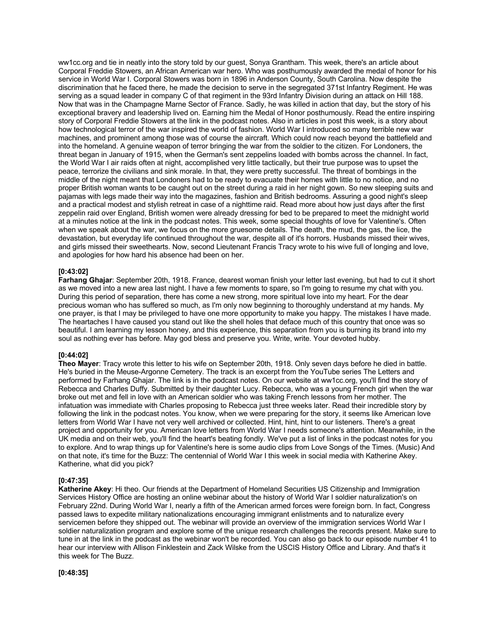ww1cc.org and tie in neatly into the story told by our guest, Sonya Grantham. This week, there's an article about Corporal Freddie Stowers, an African American war hero. Who was posthumously awarded the medal of honor for his service in World War I. Corporal Stowers was born in 1896 in Anderson County, South Carolina. Now despite the discrimination that he faced there, he made the decision to serve in the segregated 371st Infantry Regiment. He was serving as a squad leader in company C of that regiment in the 93rd Infantry Division during an attack on Hill 188. Now that was in the Champagne Marne Sector of France. Sadly, he was killed in action that day, but the story of his exceptional bravery and leadership lived on. Earning him the Medal of Honor posthumously. Read the entire inspiring story of Corporal Freddie Stowers at the link in the podcast notes. Also in articles in post this week, is a story about how technological terror of the war inspired the world of fashion. World War I introduced so many terrible new war machines, and prominent among those was of course the aircraft. Which could now reach beyond the battlefield and into the homeland. A genuine weapon of terror bringing the war from the soldier to the citizen. For Londoners, the threat began in January of 1915, when the German's sent zeppelins loaded with bombs across the channel. In fact, the World War I air raids often at night, accomplished very little tactically, but their true purpose was to upset the peace, terrorize the civilians and sink morale. In that, they were pretty successful. The threat of bombings in the middle of the night meant that Londoners had to be ready to evacuate their homes with little to no notice, and no proper British woman wants to be caught out on the street during a raid in her night gown. So new sleeping suits and pajamas with legs made their way into the magazines, fashion and British bedrooms. Assuring a good night's sleep and a practical modest and stylish retreat in case of a nighttime raid. Read more about how just days after the first zeppelin raid over England, British women were already dressing for bed to be prepared to meet the midnight world at a minutes notice at the link in the podcast notes. This week, some special thoughts of love for Valentine's. Often when we speak about the war, we focus on the more gruesome details. The death, the mud, the gas, the lice, the devastation, but everyday life continued throughout the war, despite all of it's horrors. Husbands missed their wives, and girls missed their sweethearts. Now, second Lieutenant Francis Tracy wrote to his wive full of longing and love, and apologies for how hard his absence had been on her.

#### **[0:43:02]**

**Farhang Ghajar**: September 20th, 1918. France, dearest woman finish your letter last evening, but had to cut it short as we moved into a new area last night. I have a few moments to spare, so I'm going to resume my chat with you. During this period of separation, there has come a new strong, more spiritual love into my heart. For the dear precious woman who has suffered so much, as I'm only now beginning to thoroughly understand at my hands. My one prayer, is that I may be privileged to have one more opportunity to make you happy. The mistakes I have made. The heartaches I have caused you stand out like the shell holes that deface much of this country that once was so beautiful. I am learning my lesson honey, and this experience, this separation from you is burning its brand into my soul as nothing ever has before. May god bless and preserve you. Write, write. Your devoted hubby.

#### **[0:44:02]**

**Theo Mayer**: Tracy wrote this letter to his wife on September 20th, 1918. Only seven days before he died in battle. He's buried in the Meuse-Argonne Cemetery. The track is an excerpt from the YouTube series The Letters and performed by Farhang Ghajar. The link is in the podcast notes. On our website at ww1cc.org, you'll find the story of Rebecca and Charles Duffy. Submitted by their daughter Lucy. Rebecca, who was a young French girl when the war broke out met and fell in love with an American soldier who was taking French lessons from her mother. The infatuation was immediate with Charles proposing to Rebecca just three weeks later. Read their incredible story by following the link in the podcast notes. You know, when we were preparing for the story, it seems like American love letters from World War I have not very well archived or collected. Hint, hint, hint to our listeners. There's a great project and opportunity for you. American love letters from World War I needs someone's attention. Meanwhile, in the UK media and on their web, you'll find the heart's beating fondly. We've put a list of links in the podcast notes for you to explore. And to wrap things up for Valentine's here is some audio clips from Love Songs of the Times. (Music) And on that note, it's time for the Buzz: The centennial of World War I this week in social media with Katherine Akey. Katherine, what did you pick?

#### **[0:47:35]**

**Katherine Akey**: Hi theo. Our friends at the Department of Homeland Securities US Citizenship and Immigration Services History Office are hosting an online webinar about the history of World War I soldier naturalization's on February 22nd. During World War I, nearly a fifth of the American armed forces were foreign born. In fact, Congress passed laws to expedite military nationalizations encouraging immigrant enlistments and to naturalize every servicemen before they shipped out. The webinar will provide an overview of the immigration services World War I soldier naturalization program and explore some of the unique research challenges the records present. Make sure to tune in at the link in the podcast as the webinar won't be recorded. You can also go back to our episode number 41 to hear our interview with Allison Finklestein and Zack Wilske from the USCIS History Office and Library. And that's it this week for The Buzz.

**[0:48:35]**